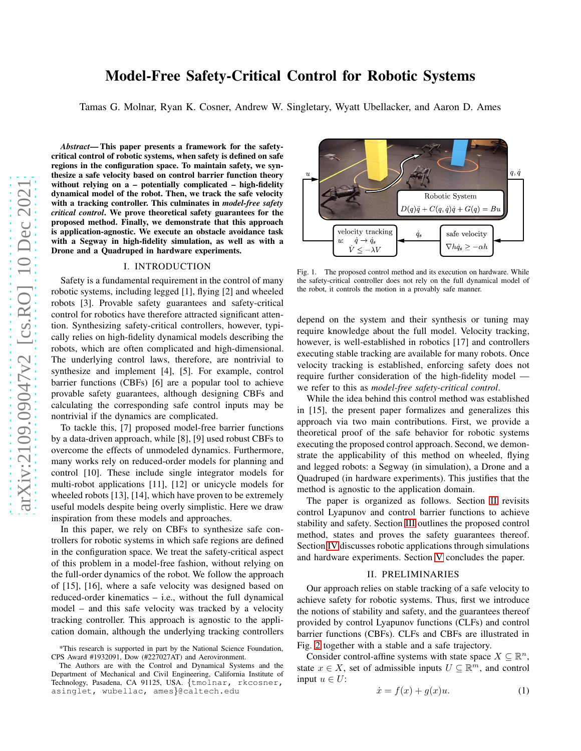# Model-Free Safety-Critical Control for Robotic Systems

Tamas G. Molnar, Ryan K. Cosner, Andrew W. Singletary, Wyatt Ubellacker, and Aaron D. Ames

*Abstract*— This paper presents a framework for the safetycritical control of robotic systems, when safety is defined on safe regions in the configuration space. To maintain safety, we synthesize a safe velocity based on control barrier function theory without relying on a – potentially complicated – high-fidelity dynamical model of the robot. Then, we track the safe velocity with a tracking controller. This culminates in *model-free safety critical control*. We prove theoretical safety guarantees for the proposed method. Finally, we demonstrate that this approach is application-agnostic. We execute an obstacle avoidance task with a Segway in high-fidelity simulation, as well as with a Drone and a Quadruped in hardware experiments.

## I. INTRODUCTION

Safety is a fundamental requirement in the control of many robotic systems, including legged [1], flying [2] and wheeled robots [3]. Provable safety guarantees and safety-critical control for robotics have therefore attracted significant attention. Synthesizing safety-critical controllers, however, typically relies on high-fidelity dynamical models describing the robots, which are often complicated and high-dimensional. The underlying control laws, therefore, are nontrivial to synthesize and implement [4], [5]. For example, control barrier functions (CBFs) [6] are a popular tool to achieve provable safety guarantees, although designing CBFs and calculating the corresponding safe control inputs may be nontrivial if the dynamics are complicated.

To tackle this, [7] proposed model-free barrier functions by a data-driven approach, while [8], [9] used robust CBFs to overcome the effects of unmodeled dynamics. Furthermore, many works rely on reduced-order models for planning and control [10]. These include single integrator models for multi-robot applications [11], [12] or unicycle models for wheeled robots [13], [14], which have proven to be extremely useful models despite being overly simplistic. Here we draw inspiration from these models and approaches.

In this paper, we rely on CBFs to synthesize safe controllers for robotic systems in which safe regions are defined in the configuration space. We treat the safety-critical aspect of this problem in a model-free fashion, without relying on the full-order dynamics of the robot. We follow the approach of [15], [16], where a safe velocity was designed based on reduced-order kinematics – i.e., without the full dynamical model – and this safe velocity was tracked by a velocity tracking controller. This approach is agnostic to the application domain, although the underlying tracking controllers



Fig. 1. The proposed control method and its execution on hardware. While the safety-critical controller does not rely on the full dynamical model of the robot, it controls the motion in a provably safe manner.

depend on the system and their synthesis or tuning may require knowledge about the full model. Velocity tracking, however, is well-established in robotics [17] and controllers executing stable tracking are available for many robots. Once velocity tracking is established, enforcing safety does not require further consideration of the high-fidelity model we refer to this as *model-free safety-critical control*.

While the idea behind this control method was established in [15], the present paper formalizes and generalizes this approach via two main contributions. First, we provide a theoretical proof of the safe behavior for robotic systems executing the proposed control approach. Second, we demonstrate the applicability of this method on wheeled, flying and legged robots: a Segway (in simulation), a Drone and a Quadruped (in hardware experiments). This justifies that the method is agnostic to the application domain.

The paper is organized as follows. Section [II](#page-0-0) revisits control Lyapunov and control barrier functions to achieve stability and safety. Section [III](#page-2-0) outlines the proposed control method, states and proves the safety guarantees thereof. Section [IV](#page-5-0) discusses robotic applications through simulations and hardware experiments. Section [V](#page-7-0) concludes the paper.

#### II. PRELIMINARIES

<span id="page-0-0"></span>Our approach relies on stable tracking of a safe velocity to achieve safety for robotic systems. Thus, first we introduce the notions of stability and safety, and the guarantees thereof provided by control Lyapunov functions (CLFs) and control barrier functions (CBFs). CLFs and CBFs are illustrated in Fig. [2](#page-1-0) together with a stable and a safe trajectory.

Consider control-affine systems with state space  $X \subseteq \mathbb{R}^n$ , state  $x \in X$ , set of admissible inputs  $U \subseteq \mathbb{R}^m$ , and control input  $u \in U$ :

<span id="page-0-1"></span>
$$
\dot{x} = f(x) + g(x)u. \tag{1}
$$

<sup>\*</sup>This research is supported in part by the National Science Foundation, CPS Award #1932091, Dow (#227027AT) and Aerovironment.

The Authors are with the Control and Dynamical Systems and the Department of Mechanical and Civil Engineering, California Institute of Technology, Pasadena, CA 91125, USA. {tmolnar, rkcosner, asinglet, wubellac, ames}@caltech.edu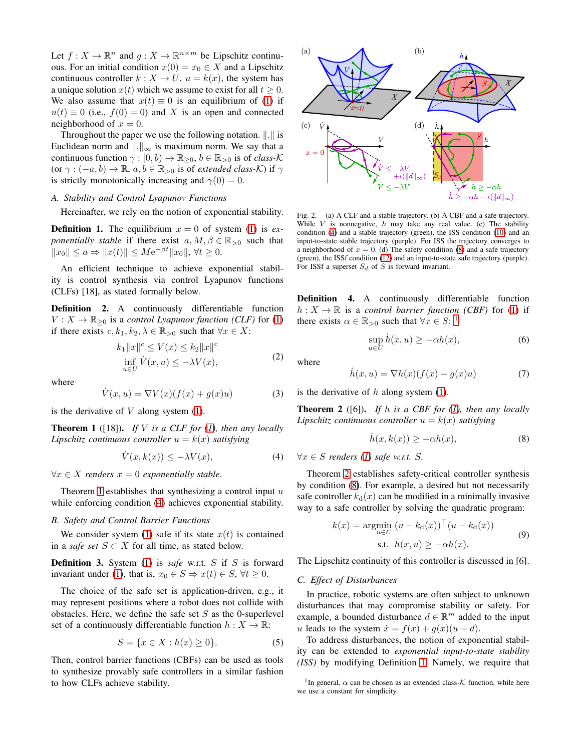Let  $f: X \to \mathbb{R}^n$  and  $g: X \to \mathbb{R}^{n \times m}$  be Lipschitz continuous. For an initial condition  $x(0) = x_0 \in X$  and a Lipschitz continuous controller  $k : X \to U$ ,  $u = k(x)$ , the system has a unique solution  $x(t)$  which we assume to exist for all  $t \geq 0$ . We also assume that  $x(t) \equiv 0$  is an equilibrium of [\(1\)](#page-0-1) if  $u(t) \equiv 0$  (i.e.,  $f(0) = 0$ ) and X is an open and connected neighborhood of  $x = 0$ .

Throughout the paper we use the following notation.  $\Vert . \Vert$  is Euclidean norm and  $\Vert . \Vert_{\infty}$  is maximum norm. We say that a continuous function  $\gamma : [0, b) \to \mathbb{R}_{\geq 0}$ ,  $b \in \mathbb{R}_{\geq 0}$  is of *class-K* (or  $\gamma : (-a, b) \to \mathbb{R}, a, b \in \mathbb{R}_{>0}$  is of *extended class-K*) if  $\gamma$ is strictly monotonically increasing and  $\gamma(0) = 0$ .

# *A. Stability and Control Lyapunov Functions*

Hereinafter, we rely on the notion of exponential stability.

<span id="page-1-6"></span>**Definition 1.** The equilibrium  $x = 0$  of system [\(1\)](#page-0-1) is *exponentially stable* if there exist  $a, M, \beta \in \mathbb{R}_{>0}$  such that  $||x_0|| \le a \Rightarrow ||x(t)|| \le M e^{-\beta t} ||x_0||, \forall t \ge 0.$ 

An efficient technique to achieve exponential stability is control synthesis via control Lyapunov functions (CLFs) [18], as stated formally below.

Definition 2. A continuously differentiable function  $V: X \to \mathbb{R}_{\geq 0}$  is a *control Lyapunov function (CLF)* for [\(1\)](#page-0-1) if there exists  $c, k_1, k_2, \lambda \in \mathbb{R}_{>0}$  such that  $\forall x \in X$ :

$$
k_1||x||^c \le V(x) \le k_2||x||^c
$$
  

$$
\inf_{u \in U} V(x, u) \le -\lambda V(x),
$$
 (2)

where

$$
\dot{V}(x, u) = \nabla V(x)(f(x) + g(x)u)
$$
\n(3)

is the derivative of  $V$  along system  $(1)$ .

<span id="page-1-1"></span>Theorem 1 ([18]). *If* V *is a CLF for [\(1\)](#page-0-1), then any locally Lipschitz continuous controller*  $u = k(x)$  *satisfying* 

<span id="page-1-2"></span>
$$
\dot{V}(x,k(x)) \le -\lambda V(x),\tag{4}
$$

 $\forall x \in X$  *renders*  $x = 0$  *exponentially stable.* 

Theorem [1](#page-1-1) establishes that synthesizing a control input  $u$ while enforcing condition [\(4\)](#page-1-2) achieves exponential stability.

#### *B. Safety and Control Barrier Functions*

We consider system [\(1\)](#page-0-1) safe if its state  $x(t)$  is contained in a *safe set*  $S \subset X$  for all time, as stated below.

<span id="page-1-8"></span>Definition 3. System [\(1\)](#page-0-1) is *safe* w.r.t. S if S is forward invariant under [\(1\)](#page-0-1), that is,  $x_0 \in S \Rightarrow x(t) \in S$ ,  $\forall t \geq 0$ .

The choice of the safe set is application-driven, e.g., it may represent positions where a robot does not collide with obstacles. Here, we define the safe set  $S$  as the 0-superlevel set of a continuously differentiable function  $h: X \to \mathbb{R}$ :

$$
S = \{ x \in X : h(x) \ge 0 \}. \tag{5}
$$

Then, control barrier functions (CBFs) can be used as tools to synthesize provably safe controllers in a similar fashion to how CLFs achieve stability.



<span id="page-1-0"></span>Fig. 2. (a) A CLF and a stable trajectory. (b) A CBF and a safe trajectory. While  $V$  is nonnegative,  $h$  may take any real value. (c) The stability condition [\(4\)](#page-1-2) and a stable trajectory (green), the ISS condition [\(10\)](#page-2-1) and an input-to-state stable trajectory (purple). For ISS the trajectory converges to a neighborhood of  $x = 0$ . (d) The safety condition [\(8\)](#page-1-3) and a safe trajectory (green), the ISSf condition [\(12\)](#page-2-2) and an input-to-state safe trajectory (purple). For ISSf a superset  $S_d$  of S is forward invariant.

Definition 4. A continuously differentiable function  $h: X \to \mathbb{R}$  is a *control barrier function (CBF)* for [\(1\)](#page-0-1) if there exists  $\alpha \in \mathbb{R}_{>0}$  such that  $\forall x \in S$ : <sup>[1](#page-1-4)</sup>

$$
\sup_{u \in U} \dot{h}(x, u) \ge -\alpha h(x),\tag{6}
$$

where

$$
\dot{h}(x, u) = \nabla h(x)(f(x) + g(x)u)
$$
\n(7)

is the derivative of  $h$  along system [\(1\)](#page-0-1).

<span id="page-1-5"></span>Theorem 2 ([6]). *If* h *is a CBF for [\(1\)](#page-0-1), then any locally Lipschitz continuous controller*  $u = k(x)$  *satisfying* 

<span id="page-1-7"></span><span id="page-1-3"></span>
$$
\dot{h}(x,k(x)) \ge -\alpha h(x),\tag{8}
$$

 $∀x ∈ S$  *renders* [\(1\)](#page-0-1) safe w.r.t. S.

Theorem [2](#page-1-5) establishes safety-critical controller synthesis by condition [\(8\)](#page-1-3). For example, a desired but not necessarily safe controller  $k_d(x)$  can be modified in a minimally invasive way to a safe controller by solving the quadratic program:

$$
k(x) = \underset{u \in U}{\operatorname{argmin}} (u - k_d(x))^\top (u - k_d(x))
$$
  
s.t.  $\dot{h}(x, u) \ge -\alpha h(x)$ . (9)

The Lipschitz continuity of this controller is discussed in [6].

#### *C. Effect of Disturbances*

In practice, robotic systems are often subject to unknown disturbances that may compromise stability or safety. For example, a bounded disturbance  $d \in \mathbb{R}^m$  added to the input u leads to the system  $\dot{x} = f(x) + g(x)(u + d)$ .

To address disturbances, the notion of exponential stability can be extended to *exponential input-to-state stability (ISS)* by modifying Definition [1.](#page-1-6) Namely, we require that

<span id="page-1-4"></span><sup>&</sup>lt;sup>1</sup>In general,  $\alpha$  can be chosen as an extended class- $K$  function, while here we use a constant for simplicity.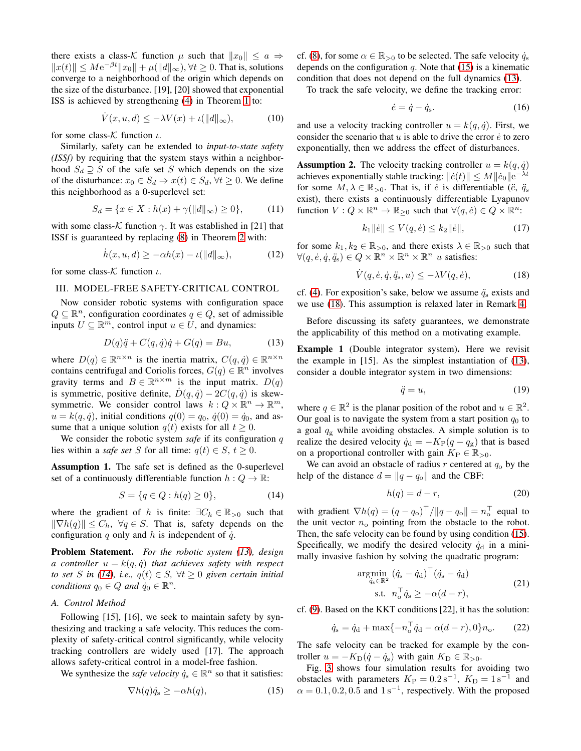there exists a class-K function  $\mu$  such that  $||x_0|| \le a \Rightarrow$  $||x(t)|| \le Me^{-\beta t} ||x_0|| + \mu(||d||_{\infty}), \forall t \ge 0.$  That is, solutions converge to a neighborhood of the origin which depends on the size of the disturbance. [19], [20] showed that exponential ISS is achieved by strengthening [\(4\)](#page-1-2) in Theorem [1](#page-1-1) to:

<span id="page-2-1"></span>
$$
\dot{V}(x, u, d) \le -\lambda V(x) + \iota(||d||_{\infty}),\tag{10}
$$

for some class- $K$  function  $\iota$ .

Similarly, safety can be extended to *input-to-state safety (ISSf)* by requiring that the system stays within a neighborhood  $S_d \supseteq S$  of the safe set S which depends on the size of the disturbance:  $x_0 \in S_d \Rightarrow x(t) \in S_d$ ,  $\forall t \geq 0$ . We define this neighborhood as a 0-superlevel set:

$$
S_d = \{ x \in X : h(x) + \gamma(\|d\|_{\infty}) \ge 0 \},\tag{11}
$$

with some class-K function  $\gamma$ . It was established in [21] that ISSf is guaranteed by replacing [\(8\)](#page-1-3) in Theorem [2](#page-1-5) with:

<span id="page-2-2"></span>
$$
\dot{h}(x, u, d) \ge -\alpha h(x) - \iota(\|d\|_{\infty}),\tag{12}
$$

<span id="page-2-0"></span>for some class- $K$  function  $\iota$ .

## III. MODEL-FREE SAFETY-CRITICAL CONTROL

Now consider robotic systems with configuration space  $Q \subseteq \mathbb{R}^n$ , configuration coordinates  $q \in Q$ , set of admissible inputs  $U \subseteq \mathbb{R}^m$ , control input  $u \in U$ , and dynamics:

<span id="page-2-3"></span>
$$
D(q)\ddot{q} + C(q, \dot{q})\dot{q} + G(q) = Bu,
$$
\n(13)

where  $D(q) \in \mathbb{R}^{n \times n}$  is the inertia matrix,  $C(q, \dot{q}) \in \mathbb{R}^{n \times n}$ contains centrifugal and Coriolis forces,  $G(q) \in \mathbb{R}^n$  involves gravity terms and  $B \in \mathbb{R}^{n \times m}$  is the input matrix.  $D(q)$ is symmetric, positive definite,  $D(q, \dot{q}) - 2C(q, \dot{q})$  is skewsymmetric. We consider control laws  $k: Q \times \mathbb{R}^n \to \mathbb{R}^m$ ,  $u = k(q, \dot{q})$ , initial conditions  $q(0) = q_0$ ,  $\dot{q}(0) = \dot{q}_0$ , and assume that a unique solution  $q(t)$  exists for all  $t \geq 0$ .

We consider the robotic system *safe* if its configuration q lies within a *safe set* S for all time:  $q(t) \in S$ ,  $t > 0$ .

Assumption 1. The safe set is defined as the 0-superlevel set of a continuously differentiable function  $h: Q \to \mathbb{R}$ :

<span id="page-2-4"></span>
$$
S = \{ q \in Q : h(q) \ge 0 \},\tag{14}
$$

where the gradient of h is finite:  $\exists C_h \in \mathbb{R}_{>0}$  such that  $\|\nabla h(q)\| \leq C_h$ ,  $\forall q \in S$ . That is, safety depends on the configuration q only and h is independent of  $\dot{q}$ .

Problem Statement. *For the robotic system [\(13\)](#page-2-3), design a controller*  $u = k(q, \dot{q})$  *that achieves safety with respect to set* S *in* [\(14\)](#page-2-4), *i.e.*,  $q(t) \in S$ ,  $\forall t \geq 0$  given certain initial *conditions*  $q_0 \in Q$  *and*  $\dot{q}_0 \in \mathbb{R}^n$ *.* 

#### *A. Control Method*

Following [15], [16], we seek to maintain safety by synthesizing and tracking a safe velocity. This reduces the complexity of safety-critical control significantly, while velocity tracking controllers are widely used [17]. The approach allows safety-critical control in a model-free fashion.

We synthesize the *safe velocity*  $\dot{q}_s \in \mathbb{R}^n$  so that it satisfies:

<span id="page-2-5"></span>
$$
\nabla h(q)\dot{q}_s \ge -\alpha h(q),\tag{15}
$$

cf. [\(8\)](#page-1-3), for some  $\alpha \in \mathbb{R}_{>0}$  to be selected. The safe velocity  $\dot{q}_s$ depends on the configuration  $q$ . Note that [\(15\)](#page-2-5) is a kinematic condition that does not depend on the full dynamics [\(13\)](#page-2-3).

To track the safe velocity, we define the tracking error:

<span id="page-2-11"></span>
$$
\dot{e} = \dot{q} - \dot{q}_s. \tag{16}
$$

and use a velocity tracking controller  $u = k(q, \dot{q})$ . First, we consider the scenario that  $u$  is able to drive the error  $\dot{e}$  to zero exponentially, then we address the effect of disturbances.

<span id="page-2-9"></span>**Assumption 2.** The velocity tracking controller  $u = k(q, \dot{q})$ achieves exponentially stable tracking:  $\|\dot{e}(t)\| \le M \|\dot{e}_0\| \mathrm{e}^{-\lambda t}$ for some  $M, \lambda \in \mathbb{R}_{>0}$ . That is, if *è* is differentiable (*ë*,  $\ddot{q}_s$ ) exist), there exists a continuously differentiable Lyapunov function  $V: Q \times \mathbb{R}^n \to \mathbb{R}_{\geq 0}$  such that  $\forall (q, e) \in Q \times \mathbb{R}^n$ :

<span id="page-2-10"></span>
$$
k_1 \|\dot{e}\| \le V(q, \dot{e}) \le k_2 \|\dot{e}\|,\tag{17}
$$

for some  $k_1, k_2 \in \mathbb{R}_{>0}$ , and there exists  $\lambda \in \mathbb{R}_{>0}$  such that  $\forall (q, \dot{e}, \dot{q}, \ddot{q}_s) \in Q \times \mathbb{R}^n \times \mathbb{R}^n \times \mathbb{R}^n \; u \text{ satisfies: }$ 

<span id="page-2-6"></span>
$$
\dot{V}(q, \dot{e}, \dot{q}, \ddot{q}_s, u) \le -\lambda V(q, \dot{e}),\tag{18}
$$

cf. [\(4\)](#page-1-2). For exposition's sake, below we assume  $\ddot{q}_s$  exists and we use [\(18\)](#page-2-6). This assumption is relaxed later in Remark [4.](#page-4-0)

Before discussing its safety guarantees, we demonstrate the applicability of this method on a motivating example.

<span id="page-2-12"></span>Example 1 (Double integrator system). Here we revisit the example in [15]. As the simplest instantiation of [\(13\)](#page-2-3), consider a double integrator system in two dimensions:

<span id="page-2-7"></span>
$$
\ddot{q} = u,\tag{19}
$$

where  $q \in \mathbb{R}^2$  is the planar position of the robot and  $u \in \mathbb{R}^2$ . Our goal is to navigate the system from a start position  $q_0$  to a goal  $q_g$  while avoiding obstacles. A simple solution is to realize the desired velocity  $\dot{q}_d = -K_P(q - q_g)$  that is based on a proportional controller with gain  $K_P \in \mathbb{R}_{>0}$ .

We can avoid an obstacle of radius  $r$  centered at  $q_0$  by the help of the distance  $d = ||q - q_0||$  and the CBF:

<span id="page-2-14"></span><span id="page-2-13"></span>
$$
h(q) = d - r,\tag{20}
$$

with gradient  $\nabla h(q) = (q - q_0)^\top / ||q - q_0|| = n_0^\top$  equal to the unit vector  $n_{\rm o}$  pointing from the obstacle to the robot. Then, the safe velocity can be found by using condition [\(15\)](#page-2-5). Specifically, we modify the desired velocity  $\dot{q}_d$  in a minimally invasive fashion by solving the quadratic program:

$$
\underset{\dot{q}_s \in \mathbb{R}^2}{\text{argmin}} \left( \dot{q}_s - \dot{q}_d \right)^\top (\dot{q}_s - \dot{q}_d) \n\text{s.t. } n_o^\top \dot{q}_s \ge -\alpha(d-r),
$$
\n(21)

cf. [\(9\)](#page-1-7). Based on the KKT conditions [22], it has the solution:

<span id="page-2-8"></span>
$$
\dot{q}_s = \dot{q}_d + \max\{-n_o^{\top}\dot{q}_d - \alpha(d-r), 0\}n_o.
$$
 (22)

The safe velocity can be tracked for example by the controller  $u = -K_D(\dot{q} - \dot{q}_s)$  with gain  $K_D \in \mathbb{R}_{>0}$ .

Fig. [3](#page-3-0) shows four simulation results for avoiding two obstacles with parameters  $K_{\rm P} = 0.2 \,\mathrm{s}^{-1}$ ,  $K_{\rm D} = 1 \,\mathrm{s}^{-1}$  and  $\alpha = 0.1, 0.2, 0.5$  and  $1 \text{ s}^{-1}$ , respectively. With the proposed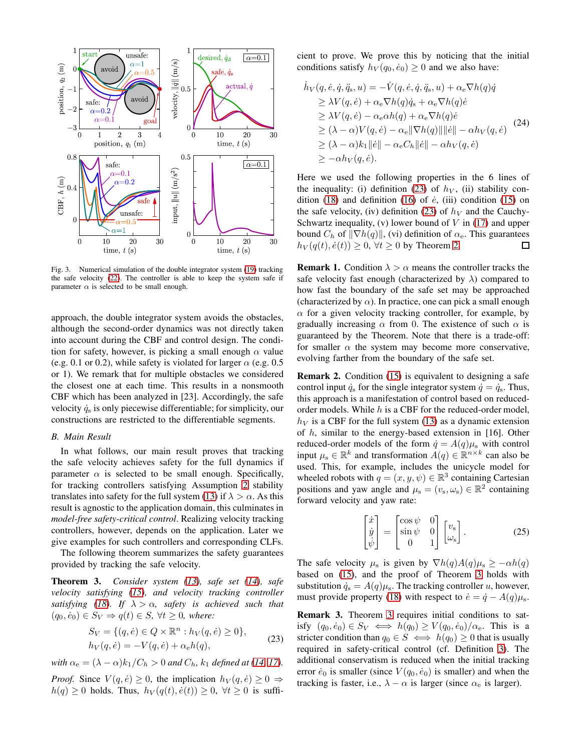

<span id="page-3-0"></span>Fig. 3. Numerical simulation of the double integrator system [\(19\)](#page-2-7) tracking the safe velocity [\(22\)](#page-2-8). The controller is able to keep the system safe if parameter  $\alpha$  is selected to be small enough.

approach, the double integrator system avoids the obstacles, although the second-order dynamics was not directly taken into account during the CBF and control design. The condition for safety, however, is picking a small enough  $\alpha$  value (e.g. 0.1 or 0.2), while safety is violated for larger  $\alpha$  (e.g. 0.5) or 1). We remark that for multiple obstacles we considered the closest one at each time. This results in a nonsmooth CBF which has been analyzed in [23]. Accordingly, the safe velocity  $\dot{q}_s$  is only piecewise differentiable; for simplicity, our constructions are restricted to the differentiable segments.

#### *B. Main Result*

In what follows, our main result proves that tracking the safe velocity achieves safety for the full dynamics if parameter  $\alpha$  is selected to be small enough. Specifically, for tracking controllers satisfying Assumption [2](#page-2-9) stability translates into safety for the full system [\(13\)](#page-2-3) if  $\lambda > \alpha$ . As this result is agnostic to the application domain, this culminates in *model-free safety-critical control*. Realizing velocity tracking controllers, however, depends on the application. Later we give examples for such controllers and corresponding CLFs.

The following theorem summarizes the safety guarantees provided by tracking the safe velocity.

<span id="page-3-2"></span>Theorem 3. *Consider system [\(13\)](#page-2-3), safe set [\(14\)](#page-2-4), safe velocity satisfying [\(15\)](#page-2-5), and velocity tracking controller satisfying* [\(18\)](#page-2-6)*.* If  $\lambda > \alpha$ *, safety is achieved such that*  $(q_0, \dot{e}_0) \in S_V \Rightarrow q(t) \in S, \forall t \geq 0, \text{ where:}$ 

$$
S_V = \{ (q, \dot{e}) \in Q \times \mathbb{R}^n : h_V(q, \dot{e}) \ge 0 \},
$$
  
\n
$$
h_V(q, \dot{e}) = -V(q, \dot{e}) + \alpha_e h(q),
$$
\n(23)

*with*  $\alpha_e = (\lambda - \alpha)k_1/C_h > 0$  *and*  $C_h$ *,*  $k_1$  *defined at* [\(14,](#page-2-4) [17\)](#page-2-10)*.* 

*Proof.* Since  $V(q, \dot{e}) \geq 0$ , the implication  $h_V(q, \dot{e}) \geq 0 \Rightarrow$  $h(q) \geq 0$  holds. Thus,  $h_V(q(t), \dot{e}(t)) \geq 0$ ,  $\forall t \geq 0$  is sufficient to prove. We prove this by noticing that the initial conditions satisfy  $h_V(q_0, \dot{e}_0) \geq 0$  and we also have:

$$
\dot{h}_V(q, \dot{e}, \dot{q}, \ddot{q}_s, u) = -\dot{V}(q, \dot{e}, \dot{q}, \ddot{q}_s, u) + \alpha_e \nabla h(q)\dot{q} \n\geq \lambda V(q, \dot{e}) + \alpha_e \nabla h(q)\dot{q}_s + \alpha_e \nabla h(q)\dot{e} \n\geq \lambda V(q, \dot{e}) - \alpha_e \alpha h(q) + \alpha_e \nabla h(q)\dot{e} \n\geq (\lambda - \alpha)V(q, \dot{e}) - \alpha_e ||\nabla h(q)|| ||\dot{e}|| - \alpha h_V(q, \dot{e}) \n\geq (\lambda - \alpha)k_1 ||\dot{e}|| - \alpha_e C_h ||\dot{e}|| - \alpha h_V(q, \dot{e}) \n\geq -\alpha h_V(q, \dot{e}).
$$
\n(24)

Here we used the following properties in the 6 lines of the inequality: (i) definition [\(23\)](#page-3-1) of  $h_V$ , (ii) stability con-dition [\(18\)](#page-2-6) and definition [\(16\)](#page-2-11) of  $\dot{e}$ , (iii) condition [\(15\)](#page-2-5) on the safe velocity, (iv) definition [\(23\)](#page-3-1) of  $h<sub>V</sub>$  and the Cauchy-Schwartz inequality, (v) lower bound of  $V$  in [\(17\)](#page-2-10) and upper bound  $C_h$  of  $\|\nabla h(q)\|$ , (vi) definition of  $\alpha_e$ . This guarantees  $h_V(q(t), \dot{e}(t)) \geq 0$ ,  $\forall t \geq 0$  by Theorem [2.](#page-1-5) □

**Remark 1.** Condition  $\lambda > \alpha$  means the controller tracks the safe velocity fast enough (characterized by  $\lambda$ ) compared to how fast the boundary of the safe set may be approached (characterized by  $\alpha$ ). In practice, one can pick a small enough  $\alpha$  for a given velocity tracking controller, for example, by gradually increasing  $\alpha$  from 0. The existence of such  $\alpha$  is guaranteed by the Theorem. Note that there is a trade-off: for smaller  $\alpha$  the system may become more conservative, evolving farther from the boundary of the safe set.

<span id="page-3-4"></span>Remark 2. Condition [\(15\)](#page-2-5) is equivalent to designing a safe control input  $\dot{q}_s$  for the single integrator system  $\dot{q} = \dot{q}_s$ . Thus, this approach is a manifestation of control based on reducedorder models. While h is a CBF for the reduced-order model,  $h_V$  is a CBF for the full system [\(13\)](#page-2-3) as a dynamic extension of h, similar to the energy-based extension in [16]. Other reduced-order models of the form  $\dot{q} = A(q)\mu_s$  with control input  $\mu_s \in \mathbb{R}^k$  and transformation  $A(q) \in \mathbb{R}^{n \times k}$  can also be used. This, for example, includes the unicycle model for wheeled robots with  $q = (x, y, \psi) \in \mathbb{R}^3$  containing Cartesian positions and yaw angle and  $\mu_s = (v_s, \omega_s) \in \mathbb{R}^2$  containing forward velocity and yaw rate:

<span id="page-3-3"></span>
$$
\begin{bmatrix} \dot{x} \\ \dot{y} \\ \dot{\psi} \end{bmatrix} = \begin{bmatrix} \cos\psi & 0 \\ \sin\psi & 0 \\ 0 & 1 \end{bmatrix} \begin{bmatrix} v_{\rm s} \\ \omega_{\rm s} \end{bmatrix} . \tag{25}
$$

The safe velocity  $\mu_s$  is given by  $\nabla h(q)A(q)\mu_s \geq -\alpha h(q)$ based on [\(15\)](#page-2-5), and the proof of Theorem [3](#page-3-2) holds with substitution  $\dot{q}_s = A(q)\mu_s$ . The tracking controller u, however, must provide property [\(18\)](#page-2-6) with respect to  $\dot{e} = \dot{q} - A(q)\mu_s$ .

<span id="page-3-1"></span>Remark 3. Theorem [3](#page-3-2) requires initial conditions to satisfy  $(q_0, \dot{e}_0) \in S_V \iff h(q_0) \ge V(q_0, \dot{e}_0)/\alpha_e$ . This is a stricter condition than  $q_0 \in S \iff h(q_0) \geq 0$  that is usually required in safety-critical control (cf. Definition [3\)](#page-1-8). The additional conservatism is reduced when the initial tracking error  $\dot{e}_0$  is smaller (since  $V(q_0, \dot{e}_0)$  is smaller) and when the tracking is faster, i.e.,  $\lambda - \alpha$  is larger (since  $\alpha_e$  is larger).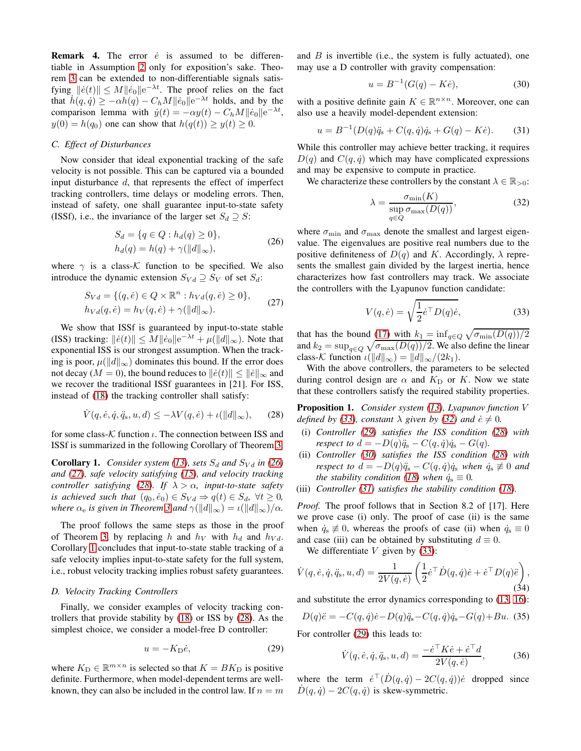<span id="page-4-0"></span>**Remark 4.** The error  $\dot{e}$  is assumed to be differentiable in Assumption [2](#page-2-9) only for exposition's sake. Theorem [3](#page-3-2) can be extended to non-differentiable signals satisfying  $\|\dot{e}(t)\| \le M \|\dot{e}_0\| \mathrm{e}^{-\lambda t}$ . The proof relies on the fact that  $\dot{h}(q, \dot{q}) \ge -\alpha \dot{h}(q) - C_h M ||\dot{e}_0|| e^{-\lambda t}$  holds, and by the comparison lemma with  $\dot{y}(t) = -\alpha y(t) - C_h M ||\dot{e}_0|| e^{-\lambda t}$ ,  $y(0) = h(q_0)$  one can show that  $h(q(t)) \ge y(t) \ge 0$ .

#### *C. Effect of Disturbances*

Now consider that ideal exponential tracking of the safe velocity is not possible. This can be captured via a bounded input disturbance d, that represents the effect of imperfect tracking controllers, time delays or modeling errors. Then, instead of safety, one shall guarantee input-to-state safety (ISSf), i.e., the invariance of the larger set  $S_d \supseteq S$ :

$$
S_d = \{q \in Q : h_d(q) \ge 0\},
$$
  
\n
$$
h_d(q) = h(q) + \gamma(||d||_{\infty}),
$$
\n(26)

where  $\gamma$  is a class-K function to be specified. We also introduce the dynamic extension  $S_{Vd} \supseteq S_V$  of set  $S_d$ :

$$
S_{Vd} = \{(q, \dot{e}) \in Q \times \mathbb{R}^n : h_{Vd}(q, \dot{e}) \ge 0\},
$$
  
\n
$$
h_{Vd}(q, \dot{e}) = h_V(q, \dot{e}) + \gamma(||d||_{\infty}).
$$
\n(27)

We show that ISSf is guaranteed by input-to-state stable (ISS) tracking:  $||\dot{e}(t)|| \leq M ||\dot{e}_0|| e^{-\lambda t} + \mu(||d||_{\infty})$ . Note that exponential ISS is our strongest assumption. When the tracking is poor,  $\mu(||d||_{\infty})$  dominates this bound. If the error does not decay ( $M = 0$ ), the bound reduces to  $\|\dot{e}(t)\| \le \|\dot{e}\|_{\infty}$  and we recover the traditional ISSf guarantees in [21]. For ISS, instead of [\(18\)](#page-2-6) the tracking controller shall satisfy:

<span id="page-4-3"></span>
$$
\dot{V}(q,\dot{e},\dot{q},\ddot{q}_s,u,d) \le -\lambda V(q,\dot{e}) + \iota(||d||_{\infty}), \qquad (28)
$$

for some class- $K$  function  $\iota$ . The connection between ISS and ISSf is summarized in the following Corollary of Theorem [3.](#page-3-2)

<span id="page-4-4"></span>**Corollary 1.** *Consider system [\(13\)](#page-2-3), sets*  $S_d$  *and*  $S_{Vd}$  *in [\(26\)](#page-4-1) and [\(27\)](#page-4-2), safe velocity satisfying [\(15\)](#page-2-5), and velocity tracking controller satisfying* [\(28\)](#page-4-3)*. If*  $\lambda > \alpha$ *, input-to-state safety is achieved such that*  $(q_0, \dot{e}_0) \in S_{Vd} \Rightarrow q(t) \in S_d$ ,  $\forall t \geq 0$ , *where*  $\alpha_e$  *is given in Theorem [3](#page-3-2) and*  $\gamma(||d||_{\infty}) = \iota(||d||_{\infty})/\alpha$ *.* 

The proof follows the same steps as those in the proof of Theorem [3,](#page-3-2) by replacing h and  $h_V$  with  $h_d$  and  $h_{V_d}$ . Corollary [1](#page-4-4) concludes that input-to-state stable tracking of a safe velocity implies input-to-state safety for the full system, i.e., robust velocity tracking implies robust safety guarantees.

## *D. Velocity Tracking Controllers*

Finally, we consider examples of velocity tracking controllers that provide stability by [\(18\)](#page-2-6) or ISS by [\(28\)](#page-4-3). As the simplest choice, we consider a model-free D controller:

<span id="page-4-7"></span>
$$
u = -K_{\mathcal{D}}\dot{e},\tag{29}
$$

where  $K_{\text{D}} \in \mathbb{R}^{m \times n}$  is selected so that  $K = BK_{\text{D}}$  is positive definite. Furthermore, when model-dependent terms are wellknown, they can also be included in the control law. If  $n = m$  and  $B$  is invertible (i.e., the system is fully actuated), one may use a D controller with gravity compensation:

<span id="page-4-8"></span>
$$
u = B^{-1}(G(q) - K\dot{e}), \tag{30}
$$

with a positive definite gain  $K \in \mathbb{R}^{n \times n}$ . Moreover, one can also use a heavily model-dependent extension:

<span id="page-4-9"></span>
$$
u = B^{-1}(D(q)\ddot{q}_s + C(q,\dot{q})\dot{q}_s + G(q) - K\dot{e}).
$$
 (31)

While this controller may achieve better tracking, it requires  $D(q)$  and  $C(q, \dot{q})$  which may have complicated expressions and may be expensive to compute in practice.

We characterize these controllers by the constant  $\lambda \in \mathbb{R}_{>0}$ :

<span id="page-4-6"></span>
$$
\lambda = \frac{\sigma_{\min}(K)}{\sup_{q \in Q} \sigma_{\max}(D(q))},\tag{32}
$$

<span id="page-4-1"></span>where  $\sigma_{\min}$  and  $\sigma_{\max}$  denote the smallest and largest eigenvalue. The eigenvalues are positive real numbers due to the positive definiteness of  $D(q)$  and K. Accordingly,  $\lambda$  represents the smallest gain divided by the largest inertia, hence characterizes how fast controllers may track. We associate the controllers with the Lyapunov function candidate:

<span id="page-4-5"></span>
$$
V(q, \dot{e}) = \sqrt{\frac{1}{2} \dot{e}^\top D(q) \dot{e}},\tag{33}
$$

<span id="page-4-2"></span>that has the bound [\(17\)](#page-2-10) with  $k_1 = \inf_{q \in Q} \sqrt{\sigma_{\min}(D(q))/2}$ and  $k_2 = \sup_{q \in Q} \sqrt{\sigma_{\max}(D(q))/2}$ . We also define the linear class-K function  $\iota(\|d\|_{\infty}) = \|d\|_{\infty}/(2k_1)$ .

With the above controllers, the parameters to be selected during control design are  $\alpha$  and  $K<sub>D</sub>$  or K. Now we state that these controllers satisfy the required stability properties.

Proposition 1. *Consider system [\(13\)](#page-2-3), Lyapunov function* V *defined by [\(33\)](#page-4-5), constant*  $\lambda$  *given by [\(32\)](#page-4-6) and*  $\dot{e} \neq 0$ *.* 

- (i) *Controller [\(29\)](#page-4-7) satisfies the ISS condition [\(28\)](#page-4-3) with respect to*  $d = -D(q)\ddot{q}_s - C(q, \dot{q})\dot{q}_s - G(q)$ .
- (ii) *Controller [\(30\)](#page-4-8) satisfies the ISS condition [\(28\)](#page-4-3) with respect to*  $d = -D(q)\ddot{q}_s - C(q, \dot{q})\dot{q}_s$  *when*  $\dot{q}_s \not\equiv 0$  *and the stability condition* [\(18\)](#page-2-6) when  $\dot{q}_s \equiv 0$ .
- (iii) *Controller [\(31\)](#page-4-9) satisfies the stability condition [\(18\)](#page-2-6).*

*Proof.* The proof follows that in Section 8.2 of [17]. Here we prove case (i) only. The proof of case (ii) is the same when  $\dot{q}_s \not\equiv 0$ , whereas the proofs of case (ii) when  $\dot{q}_s \equiv 0$ and case (iii) can be obtained by substituting  $d \equiv 0$ .

We differentiate  $V$  given by [\(33\)](#page-4-5):

$$
\dot{V}(q,\dot{e},\dot{q},\ddot{q}_s,u,d) = \frac{1}{2V(q,\dot{e})} \left( \frac{1}{2} \dot{e}^\top \dot{D}(q,\dot{q}) \dot{e} + \dot{e}^\top D(q)\ddot{e} \right),\tag{34}
$$

and substitute the error dynamics corresponding to [\(13,](#page-2-3) [16\)](#page-2-11):

$$
D(q)\ddot{e} = -C(q, \dot{q})\dot{e} - D(q)\ddot{q}_s - C(q, \dot{q})\dot{q}_s - G(q) + Bu.
$$
 (35)

For controller [\(29\)](#page-4-7) this leads to:

<span id="page-4-10"></span>
$$
\dot{V}(q, \dot{e}, \dot{q}, \ddot{q}_s, u, d) = \frac{-\dot{e}^\top K \dot{e} + \dot{e}^\top d}{2V(q, \dot{e})},
$$
(36)

where the term  $\dot{e}^\top(\dot{D}(q, \dot{q}) - 2C(q, \dot{q}))\dot{e}$  dropped since  $D(q, \dot{q}) - 2C(q, \dot{q})$  is skew-symmetric.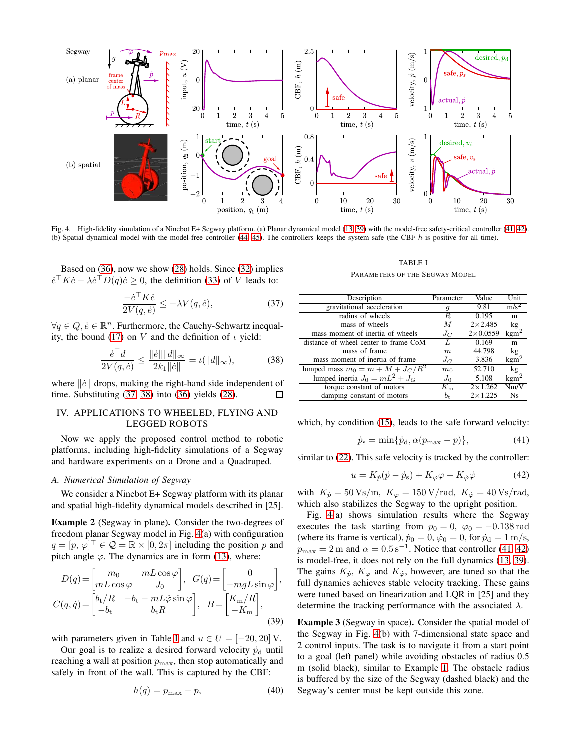

<span id="page-5-6"></span>Fig. 4. High-fidelity simulation of a Ninebot E+ Segway platform. (a) Planar dynamical model [\(13,](#page-2-3) [39\)](#page-5-1) with the model-free safety-critical controller [\(41,](#page-5-2) [42\)](#page-5-3). (b) Spatial dynamical model with the model-free controller [\(44,](#page-6-0) [45\)](#page-6-1). The controllers keeps the system safe (the CBF h is positive for all time).

Based on [\(36\)](#page-4-10), now we show [\(28\)](#page-4-3) holds. Since [\(32\)](#page-4-6) implies  $\dot{e}^\top K \dot{e} - \lambda \dot{e}^\top D(q) \dot{e} \geq 0$ , the definition [\(33\)](#page-4-5) of V leads to:

<span id="page-5-4"></span>
$$
\frac{-\dot{e}^\top K \dot{e}}{2V(q, \dot{e})} \le -\lambda V(q, \dot{e}),\tag{37}
$$

 $\forall q \in Q, \dot{e} \in \mathbb{R}^n$ . Furthermore, the Cauchy-Schwartz inequal-ity, the bound [\(17\)](#page-2-10) on V and the definition of  $\iota$  yield:

<span id="page-5-5"></span>
$$
\frac{\dot{e}^\top d}{2V(q,\dot{e})} \le \frac{\|\dot{e}\| \|d\|_{\infty}}{2k_1 \|\dot{e}\|} = \iota(\|d\|_{\infty}),\tag{38}
$$

where  $\|\dot{e}\|$  drops, making the right-hand side independent of time. Substituting [\(37,](#page-5-4) [38\)](#page-5-5) into [\(36\)](#page-4-10) yields [\(28\)](#page-4-3). 口

# <span id="page-5-0"></span>IV. APPLICATIONS TO WHEELED, FLYING AND LEGGED ROBOTS

Now we apply the proposed control method to robotic platforms, including high-fidelity simulations of a Segway and hardware experiments on a Drone and a Quadruped.

# *A. Numerical Simulation of Segway*

We consider a Ninebot E+ Segway platform with its planar and spatial high-fidelity dynamical models described in [25].

<span id="page-5-8"></span>Example 2 (Segway in plane). Consider the two-degrees of freedom planar Segway model in Fig. [4\(](#page-5-6)a) with configuration  $q = [p, \overline{\varphi}]^{\top} \in \mathcal{Q} = \mathbb{R} \times [0, 2\pi]$  including the position p and pitch angle  $\varphi$ . The dynamics are in form [\(13\)](#page-2-3), where:

$$
D(q) = \begin{bmatrix} m_0 & mL \cos \varphi \\ mL \cos \varphi & J_0 \end{bmatrix}, \quad G(q) = \begin{bmatrix} 0 \\ -m g L \sin \varphi \end{bmatrix},
$$

$$
C(q, \dot{q}) = \begin{bmatrix} b_t / R & -b_t - mL \dot{\varphi} \sin \varphi \\ -b_t & b_t R \end{bmatrix}, \quad B = \begin{bmatrix} K_m / R \\ -K_m \end{bmatrix},
$$
(39)

with parameters given in Table [I](#page-5-7) and  $u \in U = [-20, 20]$  V.

Our goal is to realize a desired forward velocity  $\dot{p}_{d}$  until reaching a wall at position  $p_{\text{max}}$ , then stop automatically and safely in front of the wall. This is captured by the CBF:

$$
h(q) = p_{\text{max}} - p,\tag{40}
$$

TABLE I

| PARAMETERS OF THE SEGWAY MODEL |  |
|--------------------------------|--|
|--------------------------------|--|

<span id="page-5-7"></span>

| Description                           | Parameter      | Value            | Unit             |
|---------------------------------------|----------------|------------------|------------------|
| gravitational acceleration            | g              | 9.81             | $m/s^2$          |
| radius of wheels                      | R.             | 0.195            | m                |
| mass of wheels                        | M              | $2 \times 2.485$ | kg               |
| mass moment of inertia of wheels      | $J_C$          | $2\times 0.0559$ | $\text{kgm}^2$   |
| distance of wheel center to frame CoM | Τ.             | 0.169            | m                |
| mass of frame                         | m              | 44.798           | kg               |
| mass moment of inertia of frame       | $J_G$          | 3.836            | $\text{kgm}^2$   |
| lumped mass $m_0 = m + M + J_C/R^2$   | m <sub>0</sub> | 52.710           | kg               |
| lumped inertia $J_0 = mL^2 + J_G$     | $J_0$          | 5.108            | $\mathrm{kgm}^2$ |
| torque constant of motors             | $K_{\rm m}$    | $2 \times 1.262$ | Nm/V             |
| damping constant of motors            | $b_{\rm t}$    | $2 \times 1.225$ | Ns               |

which, by condition [\(15\)](#page-2-5), leads to the safe forward velocity:

<span id="page-5-2"></span>
$$
\dot{p}_{\rm s} = \min\{\dot{p}_{\rm d}, \alpha(p_{\rm max} - p)\},\tag{41}
$$

similar to [\(22\)](#page-2-8). This safe velocity is tracked by the controller:

<span id="page-5-3"></span>
$$
u = K_{\dot{p}}(\dot{p} - \dot{p}_s) + K_{\varphi}\varphi + K_{\dot{\varphi}}\dot{\varphi}
$$
 (42)

with  $K_{\dot{p}} = 50 \text{ Vs/m}, K_{\varphi} = 150 \text{ V/rad}, K_{\dot{\varphi}} = 40 \text{ Vs/rad},$ which also stabilizes the Segway to the upright position.

Fig. [4\(](#page-5-6)a) shows simulation results where the Segway executes the task starting from  $p_0 = 0$ ,  $\varphi_0 = -0.138$  rad (where its frame is vertical),  $\dot{p}_0 = 0$ ,  $\dot{\varphi}_0 = 0$ , for  $\dot{p}_d = 1$  m/s,  $p_{\text{max}} = 2 \text{ m}$  and  $\alpha = 0.5 \text{ s}^{-1}$ . Notice that controller [\(41,](#page-5-2) [42\)](#page-5-3) is model-free, it does not rely on the full dynamics [\(13,](#page-2-3) [39\)](#page-5-1). The gains  $K_p$ ,  $K_\varphi$  and  $K_\varphi$ , however, are tuned so that the full dynamics achieves stable velocity tracking. These gains were tuned based on linearization and LQR in [25] and they determine the tracking performance with the associated  $\lambda$ .

<span id="page-5-9"></span><span id="page-5-1"></span>Example 3 (Segway in space). Consider the spatial model of the Segway in Fig. [4\(](#page-5-6)b) with 7-dimensional state space and 2 control inputs. The task is to navigate it from a start point to a goal (left panel) while avoiding obstacles of radius 0.5 m (solid black), similar to Example [1.](#page-2-12) The obstacle radius is buffered by the size of the Segway (dashed black) and the Segway's center must be kept outside this zone.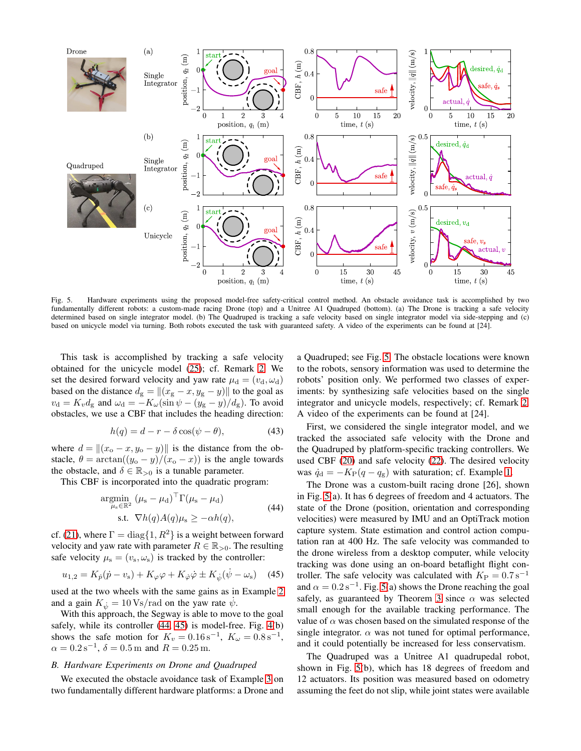

<span id="page-6-2"></span>Fig. 5. Hardware experiments using the proposed model-free safety-critical control method. An obstacle avoidance task is accomplished by two fundamentally different robots: a custom-made racing Drone (top) and a Unitree A1 Quadruped (bottom). (a) The Drone is tracking a safe velocity determined based on single integrator model. (b) The Quadruped is tracking a safe velocity based on single integrator model via side-stepping and (c) based on unicycle model via turning. Both robots executed the task with guaranteed safety. A video of the experiments can be found at [24].

This task is accomplished by tracking a safe velocity obtained for the unicycle model [\(25\)](#page-3-3); cf. Remark [2.](#page-3-4) We set the desired forward velocity and yaw rate  $\mu_d = (v_d, \omega_d)$ based on the distance  $d_g = ||(x_g - x, y_g - y)||$  to the goal as  $v_d = K_v d_g$  and  $\omega_d = -K_\omega(\sin \psi - (y_g - y)/d_g)$ . To avoid obstacles, we use a CBF that includes the heading direction:

<span id="page-6-3"></span>
$$
h(q) = d - r - \delta \cos(\psi - \theta), \tag{43}
$$

where  $d = ||(x_{o} - x, y_{o} - y)||$  is the distance from the obstacle,  $\theta = \arctan((y_0 - y)/(x_0 - x))$  is the angle towards the obstacle, and  $\delta \in \mathbb{R}_{>0}$  is a tunable parameter.

This CBF is incorporated into the quadratic program:

$$
\underset{\mu_{\rm s} \in \mathbb{R}^2}{\text{argmin}} \left( \mu_{\rm s} - \mu_{\rm d} \right)^{\top} \Gamma(\mu_{\rm s} - \mu_{\rm d})
$$
\n
$$
\text{s.t. } \nabla h(q) A(q) \mu_{\rm s} \ge -\alpha h(q), \tag{44}
$$

cf. [\(21\)](#page-2-13), where  $\Gamma = \text{diag}\{1, R^2\}$  is a weight between forward velocity and yaw rate with parameter  $R \in \mathbb{R}_{>0}$ . The resulting safe velocity  $\mu_s = (v_s, \omega_s)$  is tracked by the controller:

<span id="page-6-1"></span>
$$
u_{1,2} = K_{\dot{p}}(\dot{p} - v_{\rm s}) + K_{\varphi}\varphi + K_{\dot{\varphi}}\dot{\varphi} \pm K_{\dot{\psi}}(\dot{\psi} - \omega_{\rm s}) \quad (45)
$$

used at the two wheels with the same gains as in Example [2](#page-5-8) and a gain  $K_{\dot{\psi}} = 10 \text{ Vs/rad}$  on the yaw rate  $\dot{\psi}$ .

With this approach, the Segway is able to move to the goal safely, while its controller [\(44,](#page-6-0) [45\)](#page-6-1) is model-free. Fig. [4\(](#page-5-6)b) shows the safe motion for  $K_v = 0.16 \,\text{s}^{-1}$ ,  $K_\omega = 0.8 \,\text{s}^{-1}$ ,  $\alpha = 0.2 \,\mathrm{s}^{-1}, \,\delta = 0.5 \,\mathrm{m}$  and  $R = 0.25 \,\mathrm{m}$ .

#### *B. Hardware Experiments on Drone and Quadruped*

We executed the obstacle avoidance task of Example [3](#page-5-9) on two fundamentally different hardware platforms: a Drone and

a Quadruped; see Fig. [5.](#page-6-2) The obstacle locations were known to the robots, sensory information was used to determine the robots' position only. We performed two classes of experiments: by synthesizing safe velocities based on the single integrator and unicycle models, respectively; cf. Remark [2.](#page-3-4) A video of the experiments can be found at [24].

First, we considered the single integrator model, and we tracked the associated safe velocity with the Drone and the Quadruped by platform-specific tracking controllers. We used CBF [\(20\)](#page-2-14) and safe velocity [\(22\)](#page-2-8). The desired velocity was  $\dot{q}_d = -K_P(q - q_g)$  with saturation; cf. Example [1.](#page-2-12)

<span id="page-6-0"></span>The Drone was a custom-built racing drone [26], shown in Fig. [5\(](#page-6-2)a). It has 6 degrees of freedom and 4 actuators. The state of the Drone (position, orientation and corresponding velocities) were measured by IMU and an OptiTrack motion capture system. State estimation and control action computation ran at 400 Hz. The safe velocity was commanded to the drone wireless from a desktop computer, while velocity tracking was done using an on-board betaflight flight controller. The safe velocity was calculated with  $K_{\rm P} = 0.7$  s<sup>-1</sup> and  $\alpha = 0.2 \,\mathrm{s}^{-1}$ . Fig. [5\(](#page-6-2)a) shows the Drone reaching the goal safely, as guaranteed by Theorem [3](#page-3-2) since  $\alpha$  was selected small enough for the available tracking performance. The value of  $\alpha$  was chosen based on the simulated response of the single integrator.  $\alpha$  was not tuned for optimal performance, and it could potentially be increased for less conservatism.

The Quadruped was a Unitree A1 quadrupedal robot, shown in Fig. [5\(](#page-6-2)b), which has 18 degrees of freedom and 12 actuators. Its position was measured based on odometry assuming the feet do not slip, while joint states were available